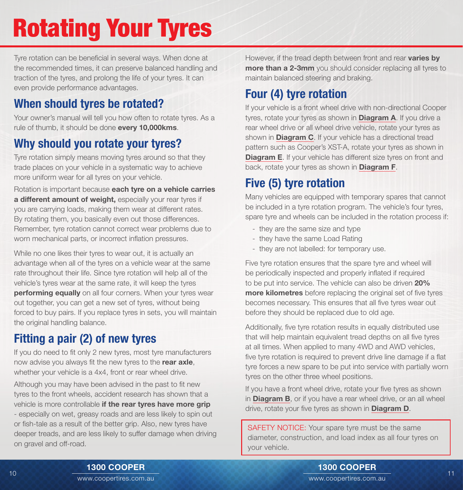# Rotating Your Tyres

Tyre rotation can be beneficial in several ways. When done at the recommended times, it can preserve balanced handling and traction of the tyres, and prolong the life of your tyres. It can even provide performance advantages.

#### When should tyres be rotated?

Your owner's manual will tell you how often to rotate tyres. As a rule of thumb, it should be done every 10,000kms.

#### Why should you rotate your tyres?

Tyre rotation simply means moving tyres around so that they trade places on your vehicle in a systematic way to achieve more uniform wear for all tyres on your vehicle.

Rotation is important because each tyre on a vehicle carries a different amount of weight, especially your rear tyres if you are carrying loads, making them wear at different rates. By rotating them, you basically even out those differences. Remember, tyre rotation cannot correct wear problems due to worn mechanical parts, or incorrect inflation pressures.

While no one likes their tyres to wear out, it is actually an advantage when all of the tyres on a vehicle wear at the same rate throughout their life. Since tyre rotation will help all of the vehicle's tyres wear at the same rate, it will keep the tyres performing equally on all four corners. When your tyres wear out together, you can get a new set of tyres, without being forced to buy pairs. If you replace tyres in sets, you will maintain the original handling balance.

## Fitting a pair (2) of new tyres

If you do need to fit only 2 new tyres, most tyre manufacturers now advise you always fit the new tyres to the rear axle, whether your vehicle is a 4x4, front or rear wheel drive.

Although you may have been advised in the past to fit new tyres to the front wheels, accident research has shown that a vehicle is more controllable if the rear tyres have more grip - especially on wet, greasy roads and are less likely to spin out or fish-tale as a result of the better grip. Also, new tyres have deeper treads, and are less likely to suffer damage when driving on gravel and off-road.

However, if the tread depth between front and rear varies by more than a 2-3mm you should consider replacing all tyres to maintain balanced steering and braking.

#### Four (4) tyre rotation

If your vehicle is a front wheel drive with non-directional Cooper tyres, rotate your tyres as shown in **Diagram A**. If you drive a rear wheel drive or all wheel drive vehicle, rotate your tyres as shown in **Diagram C**. If your vehicle has a directional tread pattern such as Cooper's XST-A, rotate your tyres as shown in **Diagram E.** If your vehicle has different size tyres on front and back, rotate your tyres as shown in **Diagram F**.

#### Five (5) tyre rotation

Many vehicles are equipped with temporary spares that cannot be included in a tyre rotation program. The vehicle's four tyres, spare tyre and wheels can be included in the rotation process if:

- they are the same size and type
- they have the same Load Rating
- they are not labelled: for temporary use.

Five tyre rotation ensures that the spare tyre and wheel will be periodically inspected and properly inflated if required to be put into service. The vehicle can also be driven 20% more kilometres before replacing the original set of five tyres becomes necessary. This ensures that all five tyres wear out before they should be replaced due to old age.

Additionally, five tyre rotation results in equally distributed use that will help maintain equivalent tread depths on all five tyres at all times. When applied to many 4WD and AWD vehicles, five tyre rotation is required to prevent drive line damage if a flat tyre forces a new spare to be put into service with partially worn tyres on the other three wheel positions.

If you have a front wheel drive, rotate your five tyres as shown in **Diagram B**, or if you have a rear wheel drive, or an all wheel drive, rotate your five tyres as shown in **Diagram D**.

SAFETY NOTICE: Your spare tyre must be the same diameter, construction, and load index as all four tyres on your vehicle.

www.coopertires.com.au 1300 COOPER  $10<\frac{1}{2}$  and  $11<sup>1</sup>$  and  $11<sup>1</sup>$  and  $11<sup>1</sup>$  and  $11<sup>1</sup>$  and  $11<sup>1</sup>$